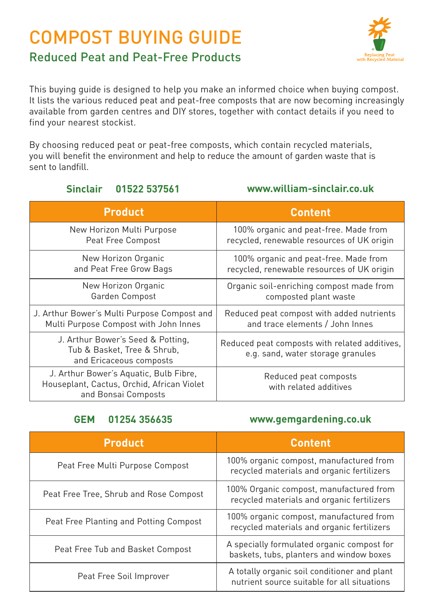# COMPOST BUYING GUIDE



# Reduced Peat and Peat-Free Products

This buying guide is designed to help you make an informed choice when buying compost. It lists the various reduced peat and peat-free composts that are now becoming increasingly available from garden centres and DIY stores, together with contact details if you need to find your nearest stockist.

By choosing reduced peat or peat-free composts, which contain recycled materials, you will benefit the environment and help to reduce the amount of garden waste that is sent to landfill.

### **Sinclair 01522 537561 www.william-sinclair.co.uk**

| <b>Product</b>                                                                                              | <b>Content</b>                                                                     |
|-------------------------------------------------------------------------------------------------------------|------------------------------------------------------------------------------------|
| New Horizon Multi Purpose                                                                                   | 100% organic and peat-free. Made from                                              |
| Peat Free Compost                                                                                           | recycled, renewable resources of UK origin                                         |
| New Horizon Organic                                                                                         | 100% organic and peat-free. Made from                                              |
| and Peat Free Grow Bags                                                                                     | recycled, renewable resources of UK origin                                         |
| New Horizon Organic                                                                                         | Organic soil-enriching compost made from                                           |
| Garden Compost                                                                                              | composted plant waste                                                              |
| J. Arthur Bower's Multi Purpose Compost and                                                                 | Reduced peat compost with added nutrients                                          |
| Multi Purpose Compost with John Innes                                                                       | and trace elements / John Innes                                                    |
| J. Arthur Bower's Seed & Potting,<br>Tub & Basket, Tree & Shrub,<br>and Ericaceous composts                 | Reduced peat composts with related additives,<br>e.g. sand, water storage granules |
| J. Arthur Bower's Aquatic, Bulb Fibre,<br>Houseplant, Cactus, Orchid, African Violet<br>and Bonsai Composts | Reduced peat composts<br>with related additives                                    |

### **GEM 01254 356635 www.gemgardening.co.uk**

| <b>Product</b>                         | <b>Content</b>                                                                              |
|----------------------------------------|---------------------------------------------------------------------------------------------|
| Peat Free Multi Purpose Compost        | 100% organic compost, manufactured from<br>recycled materials and organic fertilizers       |
| Peat Free Tree, Shrub and Rose Compost | 100% Organic compost, manufactured from<br>recycled materials and organic fertilizers       |
| Peat Free Planting and Potting Compost | 100% organic compost, manufactured from<br>recycled materials and organic fertilizers       |
| Peat Free Tub and Basket Compost       | A specially formulated organic compost for<br>baskets, tubs, planters and window boxes      |
| Peat Free Soil Improver                | A totally organic soil conditioner and plant<br>nutrient source suitable for all situations |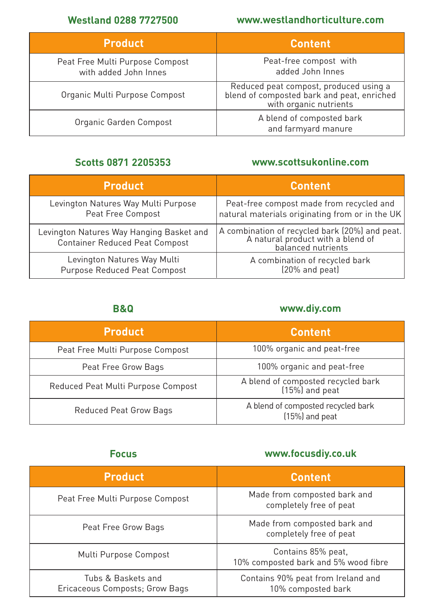### **Westland 0288 7727500 www.westlandhorticulture.com**

| <b>Product</b>                                           | <b>Content</b>                                                                                                 |
|----------------------------------------------------------|----------------------------------------------------------------------------------------------------------------|
| Peat Free Multi Purpose Compost<br>with added John Innes | Peat-free compost with<br>added John Innes                                                                     |
| Organic Multi Purpose Compost                            | Reduced peat compost, produced using a<br>blend of composted bark and peat, enriched<br>with organic nutrients |
| Organic Garden Compost                                   | A blend of composted bark<br>and farmyard manure                                                               |

### **Scotts 0871 2205353 www.scottsukonline.com**

| <b>Product</b>                           | <b>Content</b>                                                                      |
|------------------------------------------|-------------------------------------------------------------------------------------|
| Levington Natures Way Multi Purpose      | Peat-free compost made from recycled and                                            |
| Peat Free Compost                        | natural materials originating from or in the UK                                     |
| Levington Natures Way Hanging Basket and | A combination of recycled bark (20%) and peat.<br>A natural product with a blend of |
| <b>Container Reduced Peat Compost</b>    | balanced nutrients                                                                  |
| Levington Natures Way Multi              | A combination of recycled bark                                                      |
| Purpose Reduced Peat Compost             | (20% and peat)                                                                      |

### **B&Q www.diy.com**

| <b>Product</b>                     | <b>Content</b>                                         |
|------------------------------------|--------------------------------------------------------|
| Peat Free Multi Purpose Compost    | 100% organic and peat-free                             |
| Peat Free Grow Bags                | 100% organic and peat-free                             |
| Reduced Peat Multi Purpose Compost | A blend of composted recycled bark<br>$(15%)$ and peat |
| Reduced Peat Grow Bags             | A blend of composted recycled bark<br>$(15%)$ and peat |

## **Focus www.focusdiy.co.uk**

| <b>Product</b>                                       | <b>Content</b>                                             |
|------------------------------------------------------|------------------------------------------------------------|
| Peat Free Multi Purpose Compost                      | Made from composted bark and<br>completely free of peat    |
| Peat Free Grow Bags                                  | Made from composted bark and<br>completely free of peat    |
| Multi Purpose Compost                                | Contains 85% peat,<br>10% composted bark and 5% wood fibre |
| Tubs & Baskets and<br>Ericaceous Composts; Grow Bags | Contains 90% peat from Ireland and<br>10% composted bark   |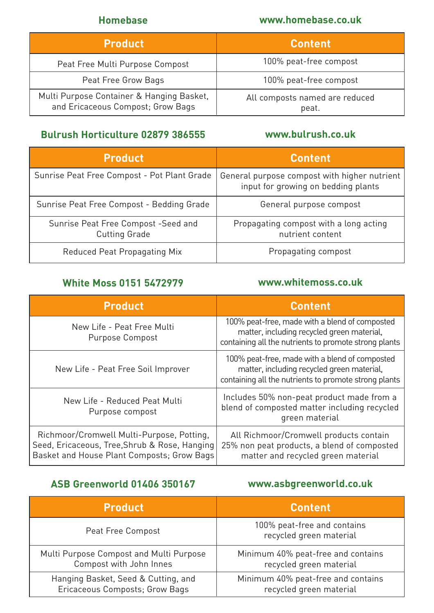### **Homebase www.homebase.co.uk**

| <b>Product</b>                                                                 | <b>Content</b>                          |
|--------------------------------------------------------------------------------|-----------------------------------------|
| Peat Free Multi Purpose Compost                                                | 100% peat-free compost                  |
| Peat Free Grow Bags                                                            | 100% peat-free compost                  |
| Multi Purpose Container & Hanging Basket,<br>and Ericaceous Compost; Grow Bags | All composts named are reduced<br>peat. |

### **Bulrush Horticulture 02879 386555 www.bulrush.co.uk**

| <b>Product</b>                                              | <b>Content</b>                                                                      |
|-------------------------------------------------------------|-------------------------------------------------------------------------------------|
| Sunrise Peat Free Compost - Pot Plant Grade                 | General purpose compost with higher nutrient<br>input for growing on bedding plants |
| Sunrise Peat Free Compost - Bedding Grade                   | General purpose compost                                                             |
| Sunrise Peat Free Compost -Seed and<br><b>Cutting Grade</b> | Propagating compost with a long acting<br>nutrient content                          |
| Reduced Peat Propagating Mix                                | Propagating compost                                                                 |

# **White Moss 0151 5472979 www.whitemoss.co.uk**

| <b>Product</b>                                                                                                                           | <b>Content</b>                                                                                                                                        |
|------------------------------------------------------------------------------------------------------------------------------------------|-------------------------------------------------------------------------------------------------------------------------------------------------------|
| New Life - Peat Free Multi<br>Purpose Compost                                                                                            | 100% peat-free, made with a blend of composted<br>matter, including recycled green material,<br>containing all the nutrients to promote strong plants |
| New Life - Peat Free Soil Improver                                                                                                       | 100% peat-free, made with a blend of composted<br>matter, including recycled green material.<br>containing all the nutrients to promote strong plants |
| New Life - Reduced Peat Multi<br>Purpose compost                                                                                         | Includes 50% non-peat product made from a<br>blend of composted matter including recycled<br>green material                                           |
| Richmoor/Cromwell Multi-Purpose, Potting,<br>Seed, Ericaceous, Tree, Shrub & Rose, Hanging<br>Basket and House Plant Composts; Grow Bags | All Richmoor/Cromwell products contain<br>25% non peat products, a blend of composted<br>matter and recycled green material                           |

# **ASB Greenworld 01406 350167 www.asbgreenworld.co.uk**

| <b>Product</b>                          | <b>Content</b>                                         |
|-----------------------------------------|--------------------------------------------------------|
| Peat Free Compost                       | 100% peat-free and contains<br>recycled green material |
| Multi Purpose Compost and Multi Purpose | Minimum 40% peat-free and contains                     |
| Compost with John Innes                 | recycled green material                                |
| Hanging Basket, Seed & Cutting, and     | Minimum 40% peat-free and contains                     |
| Ericaceous Composts; Grow Bags          | recycled green material                                |